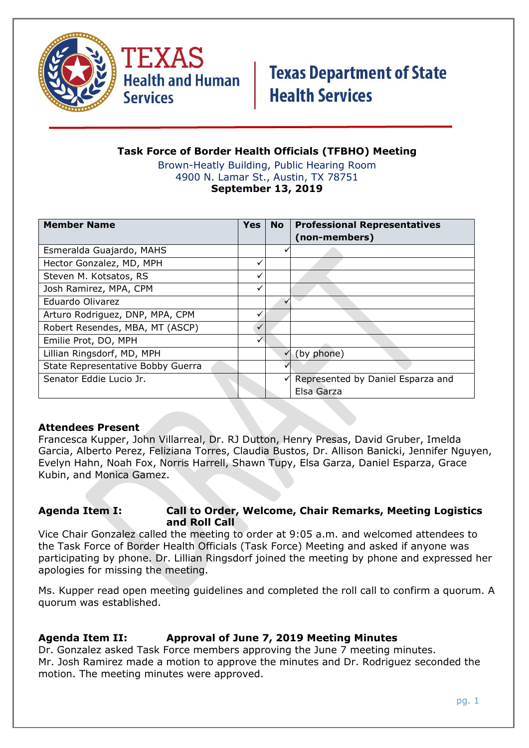



#### **Task Force of Border Health Officials (TFBHO) Meeting** Brown-Heatly Building, Public Hearing Room 4900 N. Lamar St., Austin, TX 78751 **September 13, 2019**

| <b>Member Name</b>                | <b>Yes</b>   | <b>No</b>    | <b>Professional Representatives</b><br>(non-members) |
|-----------------------------------|--------------|--------------|------------------------------------------------------|
| Esmeralda Guajardo, MAHS          |              |              |                                                      |
| Hector Gonzalez, MD, MPH          |              |              |                                                      |
| Steven M. Kotsatos, RS            |              |              |                                                      |
| Josh Ramirez, MPA, CPM            |              |              |                                                      |
| Eduardo Olivarez                  |              | $\checkmark$ |                                                      |
| Arturo Rodriguez, DNP, MPA, CPM   |              |              |                                                      |
| Robert Resendes, MBA, MT (ASCP)   | $\checkmark$ |              |                                                      |
| Emilie Prot, DO, MPH              | $\checkmark$ |              |                                                      |
| Lillian Ringsdorf, MD, MPH        |              | $\checkmark$ | (by phone)                                           |
| State Representative Bobby Guerra |              |              |                                                      |
| Senator Eddie Lucio Jr.           |              |              | Represented by Daniel Esparza and                    |
|                                   |              |              | Elsa Garza                                           |

### **Attendees Present**

Francesca Kupper, John Villarreal, Dr. RJ Dutton, Henry Presas, David Gruber, Imelda Garcia, Alberto Perez, Feliziana Torres, Claudia Bustos, Dr. Allison Banicki, Jennifer Nguyen, Evelyn Hahn, Noah Fox, Norris Harrell, Shawn Tupy, Elsa Garza, Daniel Esparza, Grace Kubin, and Monica Gamez.

### **Agenda Item I: Call to Order, Welcome, Chair Remarks, Meeting Logistics and Roll Call**

Vice Chair Gonzalez called the meeting to order at 9:05 a.m. and welcomed attendees to the Task Force of Border Health Officials (Task Force) Meeting and asked if anyone was participating by phone. Dr. Lillian Ringsdorf joined the meeting by phone and expressed her apologies for missing the meeting.

Ms. Kupper read open meeting guidelines and completed the roll call to confirm a quorum. A quorum was established.

## **Agenda Item II: Approval of June 7, 2019 Meeting Minutes**

Dr. Gonzalez asked Task Force members approving the June 7 meeting minutes. Mr. Josh Ramirez made a motion to approve the minutes and Dr. Rodriguez seconded the motion. The meeting minutes were approved.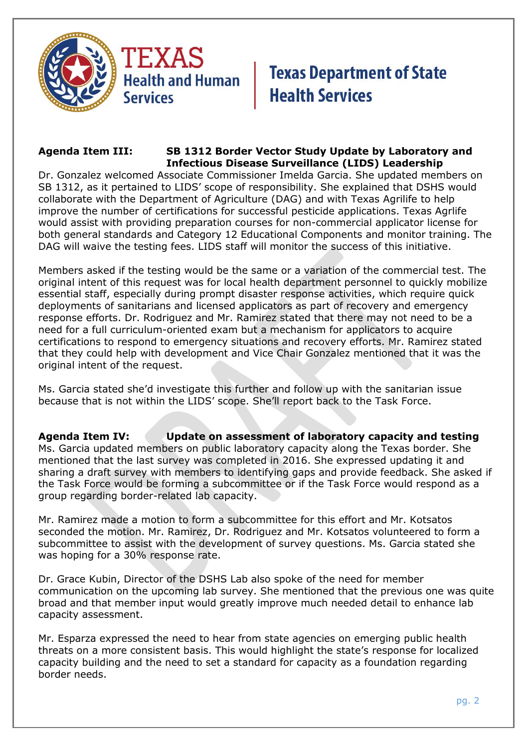



#### **Agenda Item III: SB 1312 Border Vector Study Update by Laboratory and Infectious Disease Surveillance (LIDS) Leadership**

Dr. Gonzalez welcomed Associate Commissioner Imelda Garcia. She updated members on SB 1312, as it pertained to LIDS' scope of responsibility. She explained that DSHS would collaborate with the Department of Agriculture (DAG) and with Texas Agrilife to help improve the number of certifications for successful pesticide applications. Texas Agrlife would assist with providing preparation courses for non-commercial applicator license for both general standards and Category 12 Educational Components and monitor training. The DAG will waive the testing fees. LIDS staff will monitor the success of this initiative.

Members asked if the testing would be the same or a variation of the commercial test. The original intent of this request was for local health department personnel to quickly mobilize essential staff, especially during prompt disaster response activities, which require quick deployments of sanitarians and licensed applicators as part of recovery and emergency response efforts. Dr. Rodriguez and Mr. Ramirez stated that there may not need to be a need for a full curriculum-oriented exam but a mechanism for applicators to acquire certifications to respond to emergency situations and recovery efforts. Mr. Ramirez stated that they could help with development and Vice Chair Gonzalez mentioned that it was the original intent of the request.

Ms. Garcia stated she'd investigate this further and follow up with the sanitarian issue because that is not within the LIDS' scope. She'll report back to the Task Force.

**Agenda Item IV: Update on assessment of laboratory capacity and testing** Ms. Garcia updated members on public laboratory capacity along the Texas border. She mentioned that the last survey was completed in 2016. She expressed updating it and sharing a draft survey with members to identifying gaps and provide feedback. She asked if the Task Force would be forming a subcommittee or if the Task Force would respond as a group regarding border-related lab capacity.

Mr. Ramirez made a motion to form a subcommittee for this effort and Mr. Kotsatos seconded the motion. Mr. Ramirez, Dr. Rodriguez and Mr. Kotsatos volunteered to form a subcommittee to assist with the development of survey questions. Ms. Garcia stated she was hoping for a 30% response rate.

Dr. Grace Kubin, Director of the DSHS Lab also spoke of the need for member communication on the upcoming lab survey. She mentioned that the previous one was quite broad and that member input would greatly improve much needed detail to enhance lab capacity assessment.

Mr. Esparza expressed the need to hear from state agencies on emerging public health threats on a more consistent basis. This would highlight the state's response for localized capacity building and the need to set a standard for capacity as a foundation regarding border needs.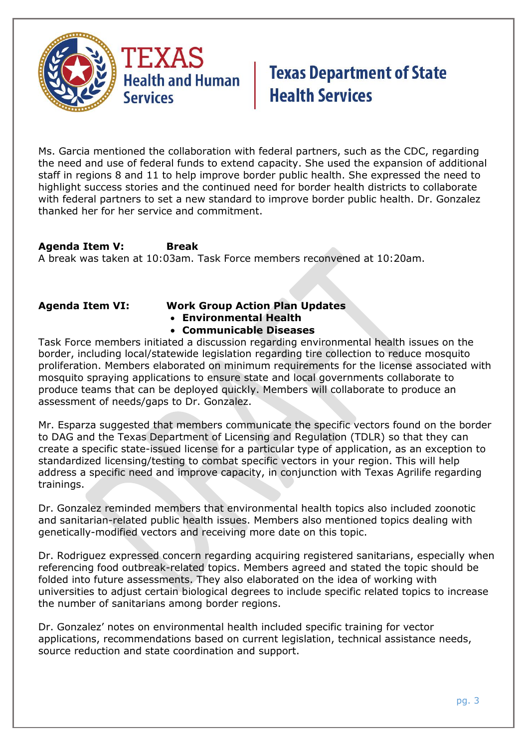

Ms. Garcia mentioned the collaboration with federal partners, such as the CDC, regarding the need and use of federal funds to extend capacity. She used the expansion of additional staff in regions 8 and 11 to help improve border public health. She expressed the need to highlight success stories and the continued need for border health districts to collaborate with federal partners to set a new standard to improve border public health. Dr. Gonzalez thanked her for her service and commitment.

**Agenda Item V: Break** A break was taken at 10:03am. Task Force members reconvened at 10:20am.

## **Agenda Item VI: Work Group Action Plan Updates**

- **Environmental Health**
- **Communicable Diseases**

Task Force members initiated a discussion regarding environmental health issues on the border, including local/statewide legislation regarding tire collection to reduce mosquito proliferation. Members elaborated on minimum requirements for the license associated with mosquito spraying applications to ensure state and local governments collaborate to produce teams that can be deployed quickly. Members will collaborate to produce an assessment of needs/gaps to Dr. Gonzalez.

Mr. Esparza suggested that members communicate the specific vectors found on the border to DAG and the Texas Department of Licensing and Regulation (TDLR) so that they can create a specific state-issued license for a particular type of application, as an exception to standardized licensing/testing to combat specific vectors in your region. This will help address a specific need and improve capacity, in conjunction with Texas Agrilife regarding trainings.

Dr. Gonzalez reminded members that environmental health topics also included zoonotic and sanitarian-related public health issues. Members also mentioned topics dealing with genetically-modified vectors and receiving more date on this topic.

Dr. Rodriguez expressed concern regarding acquiring registered sanitarians, especially when referencing food outbreak-related topics. Members agreed and stated the topic should be folded into future assessments. They also elaborated on the idea of working with universities to adjust certain biological degrees to include specific related topics to increase the number of sanitarians among border regions.

Dr. Gonzalez' notes on environmental health included specific training for vector applications, recommendations based on current legislation, technical assistance needs, source reduction and state coordination and support.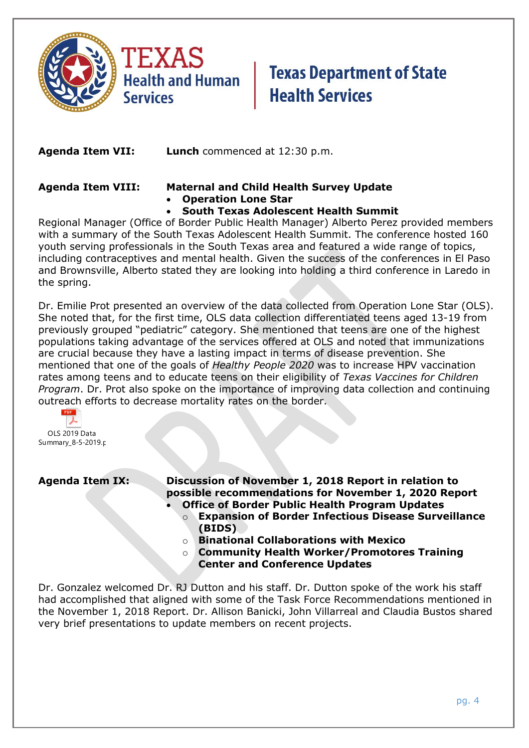

**Agenda Item VII: Lunch** commenced at 12:30 p.m.

### **Agenda Item VIII: Maternal and Child Health Survey Update** • **Operation Lone Star**

• **South Texas Adolescent Health Summit**

Regional Manager (Office of Border Public Health Manager) Alberto Perez provided members with a summary of the South Texas Adolescent Health Summit. The conference hosted 160 youth serving professionals in the South Texas area and featured a wide range of topics, including contraceptives and mental health. Given the success of the conferences in El Paso and Brownsville, Alberto stated they are looking into holding a third conference in Laredo in the spring.

Dr. Emilie Prot presented an overview of the data collected from Operation Lone Star (OLS). She noted that, for the first time, OLS data collection differentiated teens aged 13-19 from previously grouped "pediatric" category. She mentioned that teens are one of the highest populations taking advantage of the services offered at OLS and noted that immunizations are crucial because they have a lasting impact in terms of disease prevention. She mentioned that one of the goals of *Healthy People 2020* was to increase HPV vaccination rates among teens and to educate teens on their eligibility of *Texas Vaccines for Children Program*. Dr. Prot also spoke on the importance of improving data collection and continuing outreach efforts to decrease mortality rates on the border.

ス OLS 2019 Data Summary\_8-5-2019.p

**Agenda Item IX: Discussion of November 1, 2018 Report in relation to possible recommendations for November 1, 2020 Report**

- **Office of Border Public Health Program Updates**
	- o **Expansion of Border Infectious Disease Surveillance (BIDS)**
	- **Binational Collaborations with Mexico**
	- o **Community Health Worker/Promotores Training Center and Conference Updates**

Dr. Gonzalez welcomed Dr. RJ Dutton and his staff. Dr. Dutton spoke of the work his staff had accomplished that aligned with some of the Task Force Recommendations mentioned in the November 1, 2018 Report. Dr. Allison Banicki, John Villarreal and Claudia Bustos shared very brief presentations to update members on recent projects.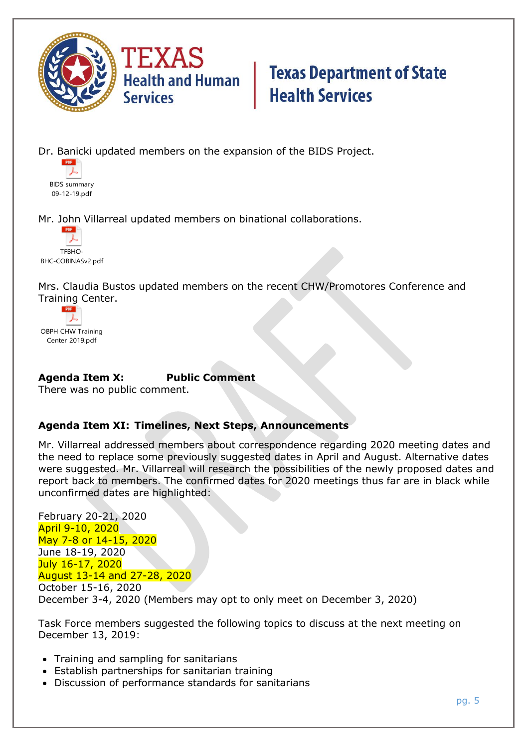

Dr. Banicki updated members on the expansion of the BIDS Project.



Mr. John Villarreal updated members on binational collaborations.



Mrs. Claudia Bustos updated members on the recent CHW/Promotores Conference and Training Center.



**Agenda Item X: Public Comment**

There was no public comment.

## **Agenda Item XI: Timelines, Next Steps, Announcements**

Mr. Villarreal addressed members about correspondence regarding 2020 meeting dates and the need to replace some previously suggested dates in April and August. Alternative dates were suggested. Mr. Villarreal will research the possibilities of the newly proposed dates and report back to members. The confirmed dates for 2020 meetings thus far are in black while unconfirmed dates are highlighted:

February 20-21, 2020 April 9-10, 2020 May 7-8 or 14-15, 2020 June 18-19, 2020 July 16-17, 2020 August 13-14 and 27-28, 2020 October 15-16, 2020 December 3-4, 2020 (Members may opt to only meet on December 3, 2020)

Task Force members suggested the following topics to discuss at the next meeting on December 13, 2019:

- Training and sampling for sanitarians
- Establish partnerships for sanitarian training
- Discussion of performance standards for sanitarians